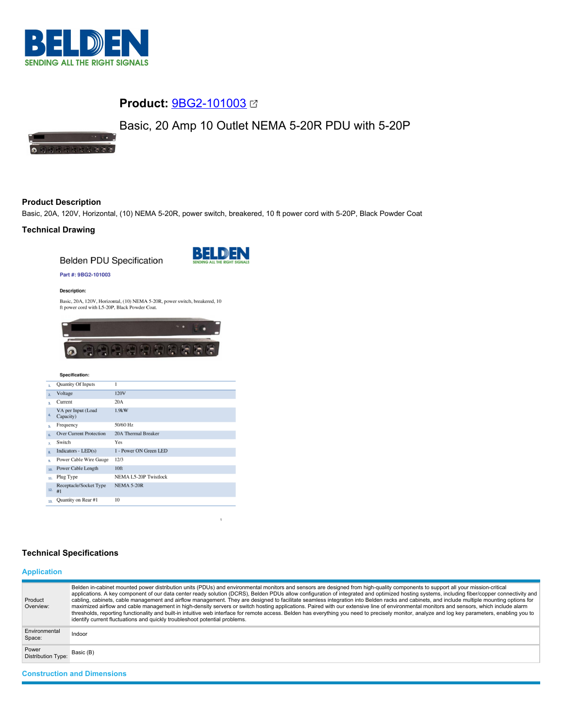

# **Product:** [9BG2-101003](https://catalog.belden.com/index.cfm?event=pd&p=PF_9BG2101003&tab=downloads)

# Basic, 20 Amp 10 Outlet NEMA 5-20R PDU with 5-20P

 $\Omega$ 

# **Product Description**

Basic, 20A, 120V, Horizontal, (10) NEMA 5-20R, power switch, breakered, 10 ft power cord with 5-20P, Black Powder Coat

# **Technical Drawing**

**Belden PDU Specification** 



## Part #: 9BG2-101003

#### **Description:**

Basic, 20A, 120V, Horizontal, (10) NEMA 5-20R, power switch, breakered, 10 ft power cord with L5-20P, Black Powder Coat.



#### Specification:

| 1.                        | Quantity Of Inputs              | 1                      |
|---------------------------|---------------------------------|------------------------|
| $\overline{2}$            | Voltage                         | 120V                   |
| $\overline{3}$ .          | Current                         | 20A                    |
| 4.                        | VA per Input (Load<br>Capacity) | 1.9kW                  |
| s.                        | Frequency                       | 50/60 Hz               |
| 6.                        | <b>Over Current Protection</b>  | 20A Thermal Breaker    |
| $\overline{z}$            | Switch                          | Yes                    |
| $\overline{\mathbf{R}}$ . | Indicators - $LED(s)$           | 1 - Power ON Green LED |
| 9.                        | Power Cable Wire Gauge          | 12/3                   |
| 10.                       | Power Cable Length              | 10 <sup>ft</sup>       |
| 11.                       | Plug Type                       | NEMA L5-20P Twistlock  |
| 12.                       | Receptacle/Socket Type<br>#1    | <b>NEMA 5-20R</b>      |
| 13.                       | Quantity on Rear #1             | 10                     |

# **Technical Specifications**

# **Application**

| Product<br>Overview:               | Belden in-cabinet mounted power distribution units (PDUs) and environmental monitors and sensors are designed from high-quality components to support all your mission-critical<br>applications. A key component of our data center ready solution (DCRS), Belden PDUs allow configuration of integrated and optimized hosting systems, including fiber/copper connectivity and<br>cabling, cabinets, cable management and airflow management. They are designed to facilitate seamless integration into Belden racks and cabinets, and include multiple mounting options for<br>maximized airflow and cable management in high-density servers or switch hosting applications. Paired with our extensive line of environmental monitors and sensors, which include alarm<br>thresholds, reporting functionality and built-in intuitive web interface for remote access. Belden has everything you need to precisely monitor, analyze and log key parameters, enabling you to<br>identify current fluctuations and quickly troubleshoot potential problems. |
|------------------------------------|-------------------------------------------------------------------------------------------------------------------------------------------------------------------------------------------------------------------------------------------------------------------------------------------------------------------------------------------------------------------------------------------------------------------------------------------------------------------------------------------------------------------------------------------------------------------------------------------------------------------------------------------------------------------------------------------------------------------------------------------------------------------------------------------------------------------------------------------------------------------------------------------------------------------------------------------------------------------------------------------------------------------------------------------------------------|
| Environmental<br>Space:            | Indoor                                                                                                                                                                                                                                                                                                                                                                                                                                                                                                                                                                                                                                                                                                                                                                                                                                                                                                                                                                                                                                                      |
| Power<br>Distribution Type:        | Basic (B)                                                                                                                                                                                                                                                                                                                                                                                                                                                                                                                                                                                                                                                                                                                                                                                                                                                                                                                                                                                                                                                   |
| <b>Construction and Dimensions</b> |                                                                                                                                                                                                                                                                                                                                                                                                                                                                                                                                                                                                                                                                                                                                                                                                                                                                                                                                                                                                                                                             |